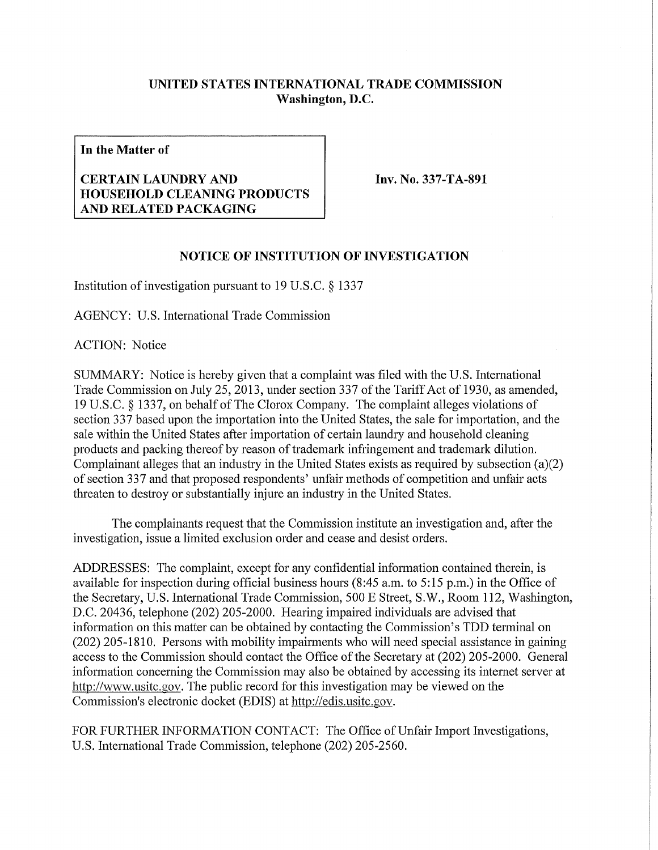## **UNITED STATES INTERNATIONAL TRADE COMMISSION Washington, D.C.**

**In the Matter of** 

## **CERTAIN LAUNDRY AND HOUSEHOLD CLEANING PRODUCTS AND RELATED PACKAGING**

**Inv. No. 337-TA-891** 

## **NOTICE OF INSTITUTION OF INVESTIGATION**

Institution of investigation pursuant to 19 U.S.C. § 1337

AGENCY: U.S. International Trade Commission

ACTION: Notice

SUMMARY: Notice is hereby given that a complaint was filed with the U.S. International Trade Commission on July 25, 2013, under section 337 of the Tariff Act of 1930, as amended, 19 U.S.C. § 1337, on behalf of The Clorox Company. The complaint alleges violations of section 337 based upon the importation into the United States, the sale for importation, and the sale within the United States after importation of certain laundry and household cleaning products and packing thereof by reason of trademark infringement and trademark dilution. Complainant alleges that an industry in the United States exists as required by subsection (a)(2) of section 337 and that proposed respondents' unfair methods of competition and unfair acts threaten to destroy or substantially injure an industry in the United States.

The complainants request that the Commission institute an investigation and, after the investigation, issue a limited exclusion order and cease and desist orders.

ADDRESSES: The complaint, except for any confidential information contained therein, is available for inspection during official business hours (8:45 a.m. to 5:15 p.m.) in the Office of the Secretary, U.S. International Trade Commission, 500 E Street, S.W., Room 112, Washington, D.C. 20436, telephone (202) 205-2000. Hearing impaired individuals are advised that information on this matter can be obtained by contacting the Commission's TDD terminal on (202) 205-1810. Persons with mobility impairments who will need special assistance in gaining access to the Commission should contact the Office of the Secretary at (202) 205-2000. General information concerning the Commission may also be obtained by accessing its internet server at http://www.usitc.gov. The public record for this investigation may be viewed on the Commission's electronic docket (EDIS) at http://edis.usitc.gov.

FOR FURTHER INFORMATION CONTACT: The Office of Unfair Import Investigations, U.S. International Trade Commission, telephone (202) 205-2560.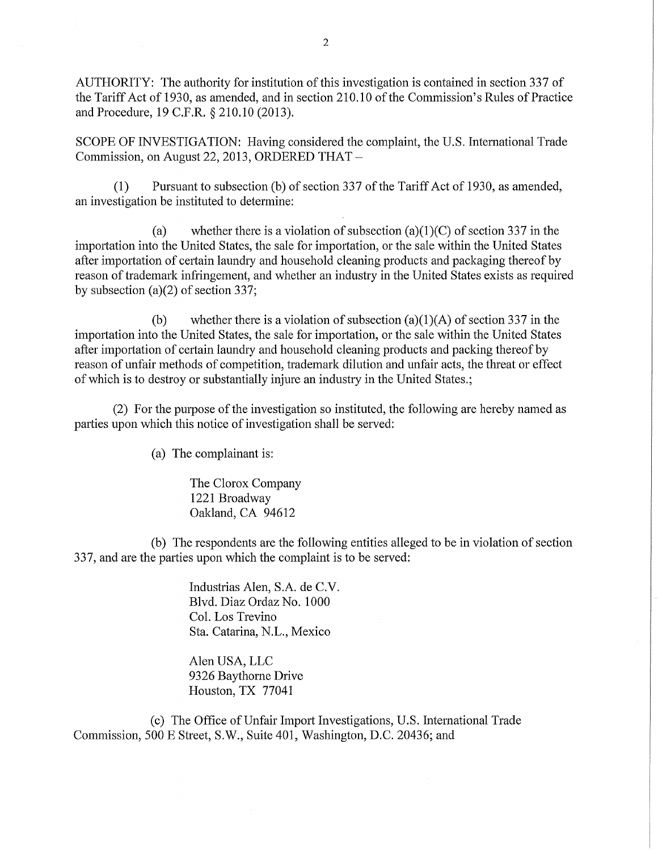AUTHORITY: The authority for institution of this investigation is contained in section 337 of the Tariff Act of 1930, as amended, and in section 210.10 of the Commission's Rules of Practice and Procedure, 19 C.F.R. § 210.10 (2013).

SCOPE OF INVESTIGATION: Having considered the complaint, the U.S. International Trade Commission, on August 22, 2013, ORDERED THAT -

(1) Pursuant to subsection (b) of section 337 of the Tariff Act of 1930, as amended, an investigation be instituted to determine:

(a) whether there is a violation of subsection (a)(1)(C) of section 337 in the importation into the United States, the sale for importation, or the sale within the United States after importation of certain laundry and household cleaning products and packaging thereof by reason of trademark infringement, and whether an industry in the United States exists as required by subsection (a)(2) of section 337;

(b) whether there is a violation of subsection  $(a)(1)(A)$  of section 337 in the importation into the United States, the sale for importation, or the sale within the United States after importation of certain laundry and household cleaning products and packing thereof by reason of unfair methods of competition, trademark dilution and unfair acts, the threat or effect of which is to destroy or substantially injure an industry in the United States.;

(2) For the purpose of the investigation so instituted, the following are hereby named as parties upon which this notice of investigation shall be served:

(a) The complainant is:

The Clorox Company 1221 Broadway Oakland, CA 94612

(b) The respondents are the following entities alleged to be in violation of section 337, and are the parties upon which the complaint is to be served:

> Industrias Alen, S.A. de C.V. Blvd. Diaz Ordaz No. 1000 Col. Los Trevino Sta. Catarina, N.L., Mexico

Alen USA, LLC 9326 Baythorne Drive Houston, TX 77041

(c) The Office of Unfair Import Investigations, U.S. International Trade Commission, 500 E Street, S.W., Suite 401, Washington, D.C. 20436; and